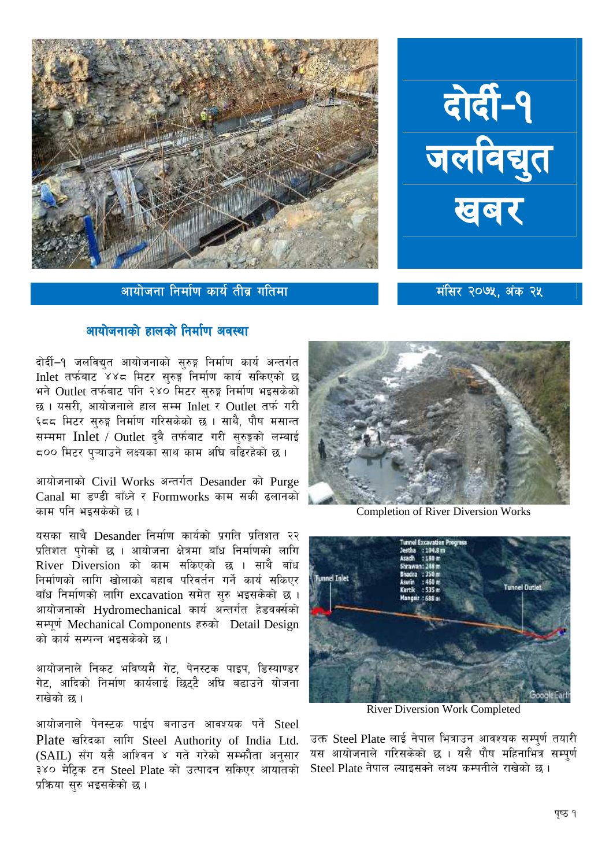

आयोजना निर्माण कार्य तीव्र गतिमा

## रोर्दी-१<br>जलविद्युत

मंसिर २०७५, अंक २५

## आयोजनाको हालको निर्माण अवस्था

दोर्दी–१ जलविद्युत आयोजनाको सुरुङ्ग निर्माण कार्य अन्तर्गत Inlet तर्फबाट ४४८ मिटर सुरुङ्ग निर्माण कार्य सकिएको छ भने Outlet तर्फबाट पनि २४० मिटर सुरुङ्ग निर्माण भइसकेको छ। यसरी, आयोजनाले हाल सम्म Inlet र Outlet तर्फ गरी ६८८ मिटर सुरुङ्ग निर्माण गरिसकेको छ । साथै, पौष मसान्त सम्ममा Inlet / Outlet दुवै तर्फबाट गरी सुरुङ्गको लम्बाई 500 मिटर प्ऱ्याउने लक्ष्यका साथ काम अघि बढिरहेको छ।

आयोजनाको Civil Works अन्तर्गत Desander को Purge Canal मा डण्डी बाँध्ने र Formworks काम सकी ढलानको काम पनि भइसकेको छ ।

यसका साथै Desander निर्माण कार्यको प्रगति प्रतिशत २२ प्रतिशत पुगेको छ । आयोजना क्षेत्रमा बाँध निर्माणको लागि River Diversion को काम सकिएको छ । साथै बाँध निर्माणको लागि खोलाको बहाब परिवर्तन गर्ने कार्य सकिएर बाँध निर्माणको लागि excavation समेत सरु भइसकेको छ। आयोजनाको Hydromechanical कार्य अन्तर्गत हेडवर्क्सको सम्पूर्ण Mechanical Components हरुको Detail Design को कार्य सम्पन्न भइसकेको छ ।

आयोजनाले निकट भविष्यमै गेट, पेनस्टक पाइप, डिस्याण्डर गेट, आदिको निर्माण कार्यलाई छिटटै अघि बढाउने योजना राखेको छ ।

आयोजनाले पेनस्टक पाईप बनाउन आवश्यक पर्ने Steel Plate खरिदका लागि Steel Authority of India Ltd. (SAIL) सँग यसै आश्विन ४ गते गरेको सम्भौता अनुसार ३४० मेटिक टन Steel Plate को उत्पादन सकिएर आयातको प्रक्रिया सरु भइसकेको छ।



**Completion of River Diversion Works** 



**River Diversion Work Completed** 

उक्त Steel Plate लाई नेपाल भित्राउन आवश्यक सम्पूर्ण तयारी यस आयोजनाले गरिसकेको छ । यसै पौष महिनाभित्र सम्पर्ण Steel Plate नेपाल ल्याइसक्ने लक्ष्य कम्पनीले राखेको छ।